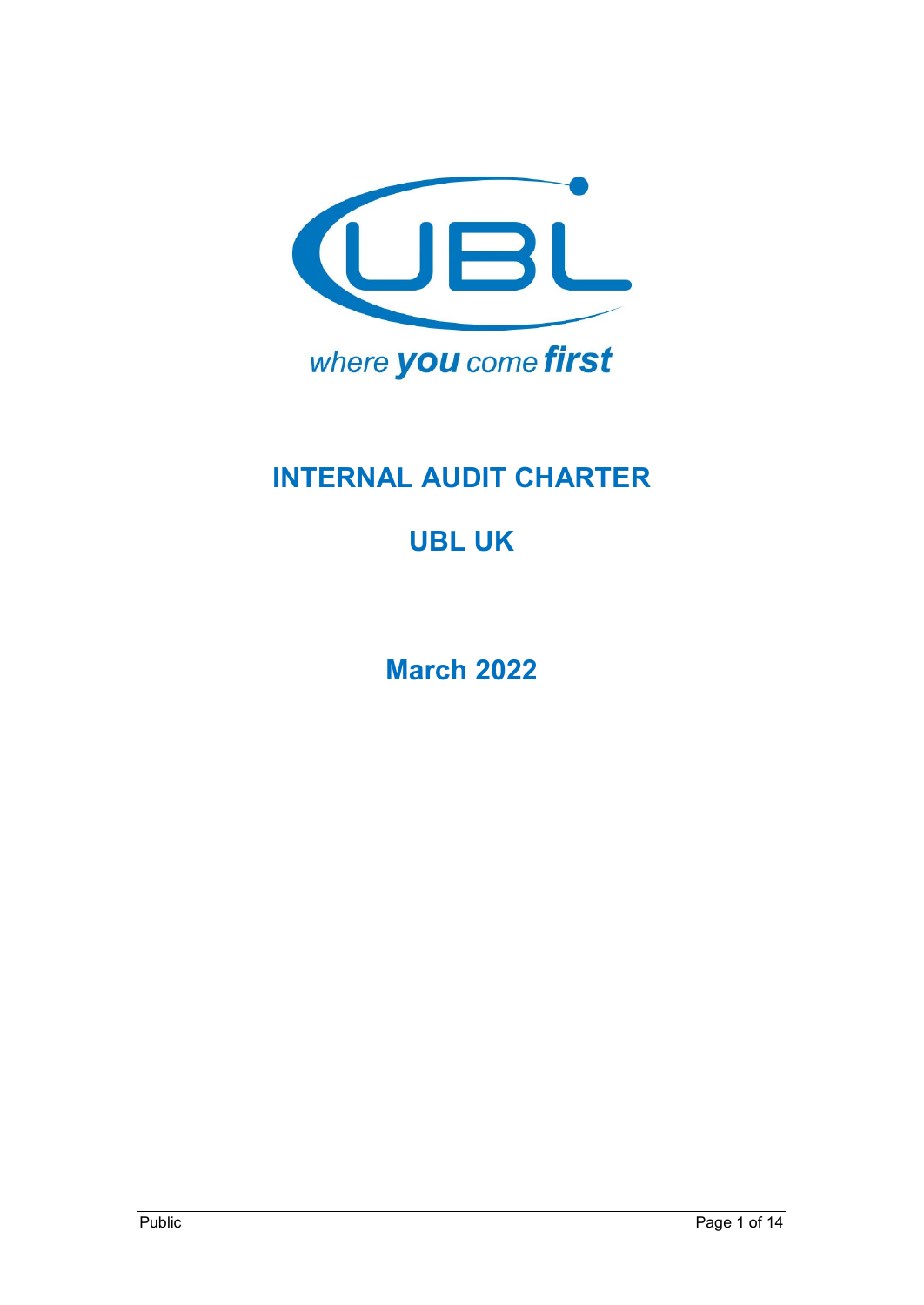

# **INTERNAL AUDIT CHARTER**

# **UBL UK**

**March 2022**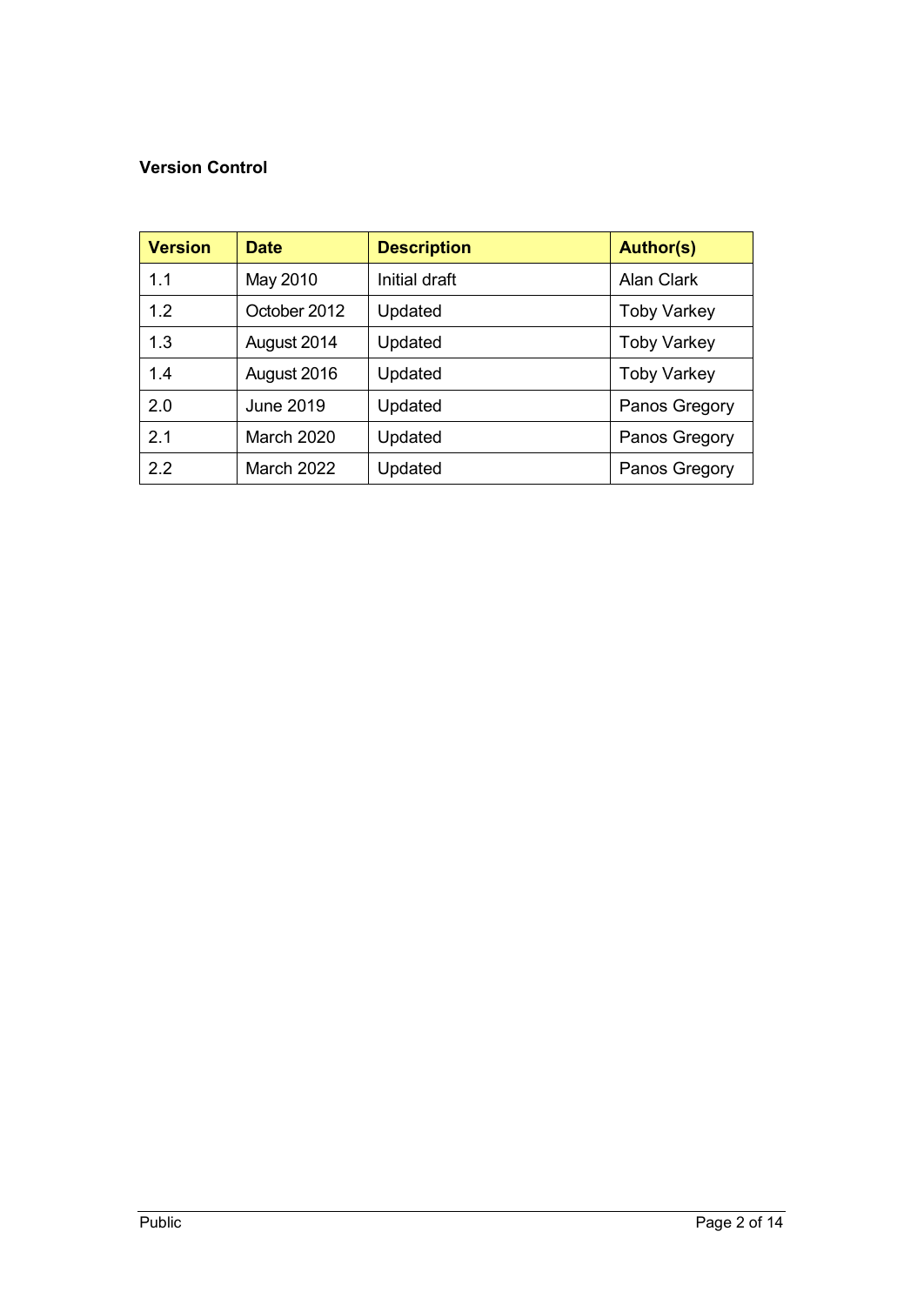## **Version Control**

| <b>Version</b> | <b>Date</b>       | <b>Description</b> | <b>Author(s)</b>   |
|----------------|-------------------|--------------------|--------------------|
| 1.1            | May 2010          | Initial draft      | <b>Alan Clark</b>  |
| 1.2            | October 2012      | Updated            | <b>Toby Varkey</b> |
| 1.3            | August 2014       | Updated            | <b>Toby Varkey</b> |
| 1.4            | August 2016       | Updated            | <b>Toby Varkey</b> |
| 2.0            | <b>June 2019</b>  | Updated            | Panos Gregory      |
| 2.1            | <b>March 2020</b> | Updated            | Panos Gregory      |
| 2.2            | <b>March 2022</b> | Updated            | Panos Gregory      |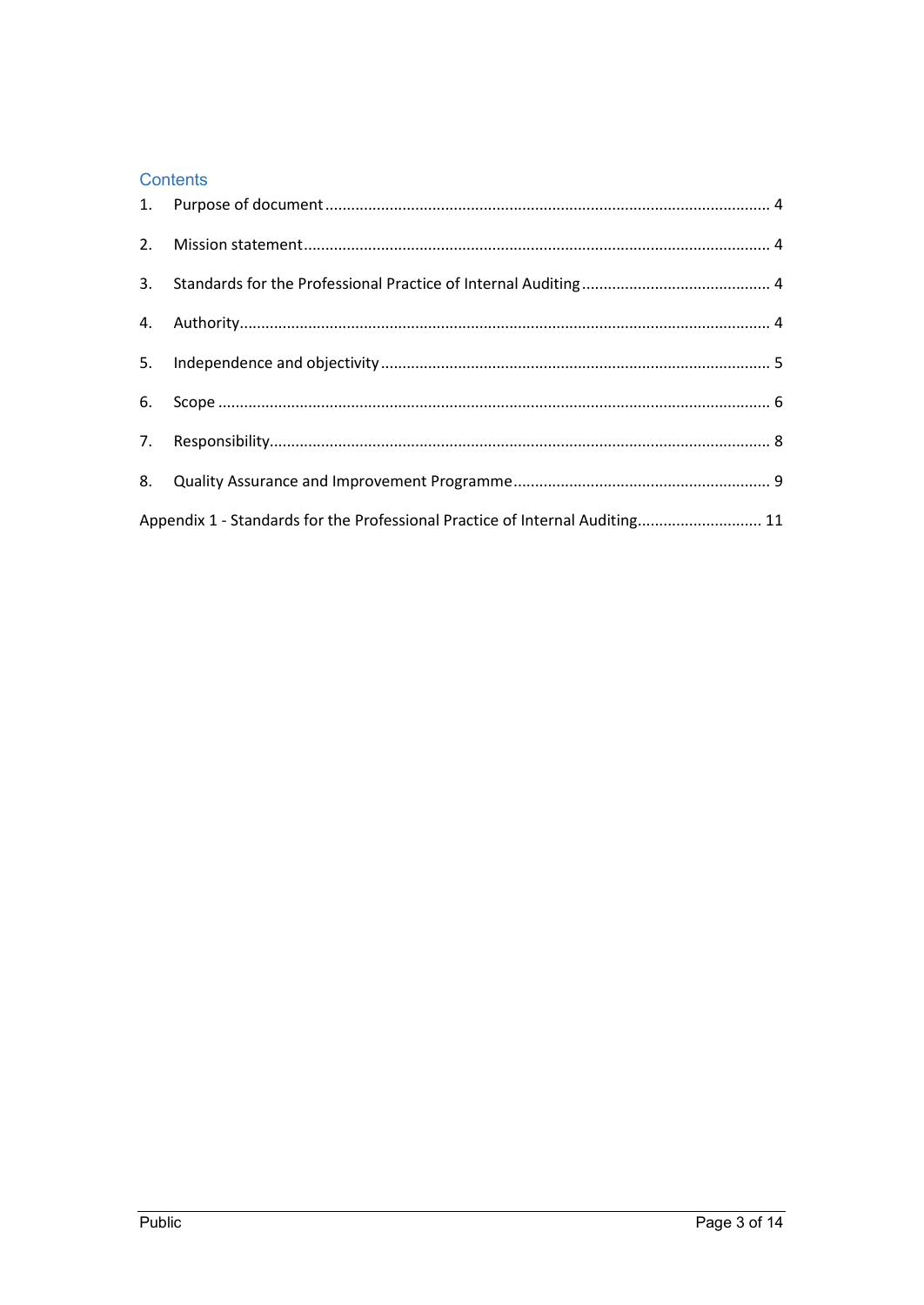#### Contents

| Appendix 1 - Standards for the Professional Practice of Internal Auditing 11 |  |
|------------------------------------------------------------------------------|--|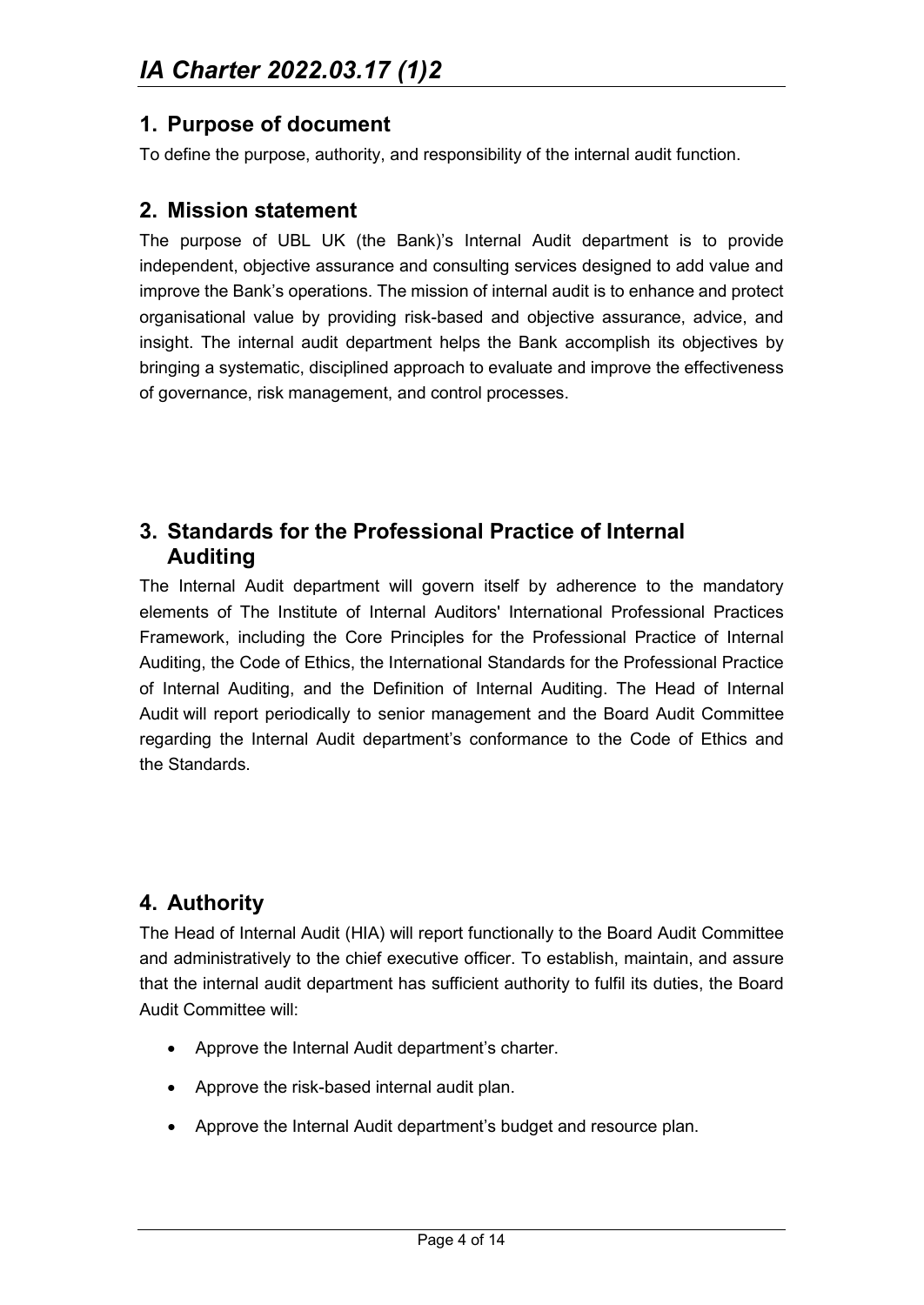## <span id="page-3-0"></span>**1. Purpose of document**

To define the purpose, authority, and responsibility of the internal audit function.

## <span id="page-3-1"></span>**2. Mission statement**

The purpose of UBL UK (the Bank)'s Internal Audit department is to provide independent, objective assurance and consulting services designed to add value and improve the Bank's operations. The mission of internal audit is to enhance and protect organisational value by providing risk-based and objective assurance, advice, and insight. The internal audit department helps the Bank accomplish its objectives by bringing a systematic, disciplined approach to evaluate and improve the effectiveness of governance, risk management, and control processes.

## <span id="page-3-2"></span>**3. Standards for the Professional Practice of Internal Auditing**

The Internal Audit department will govern itself by adherence to the mandatory elements of The Institute of Internal Auditors' International Professional Practices Framework, including the Core Principles for the Professional Practice of Internal Auditing, the Code of Ethics, the International Standards for the Professional Practice of Internal Auditing, and the Definition of Internal Auditing. The Head of Internal Audit will report periodically to senior management and the Board Audit Committee regarding the Internal Audit department's conformance to the Code of Ethics and the Standards.

## <span id="page-3-3"></span>**4. Authority**

The Head of Internal Audit (HIA) will report functionally to the Board Audit Committee and administratively to the chief executive officer. To establish, maintain, and assure that the internal audit department has sufficient authority to fulfil its duties, the Board Audit Committee will:

- Approve the Internal Audit department's charter.
- Approve the risk-based internal audit plan.
- Approve the Internal Audit department's budget and resource plan.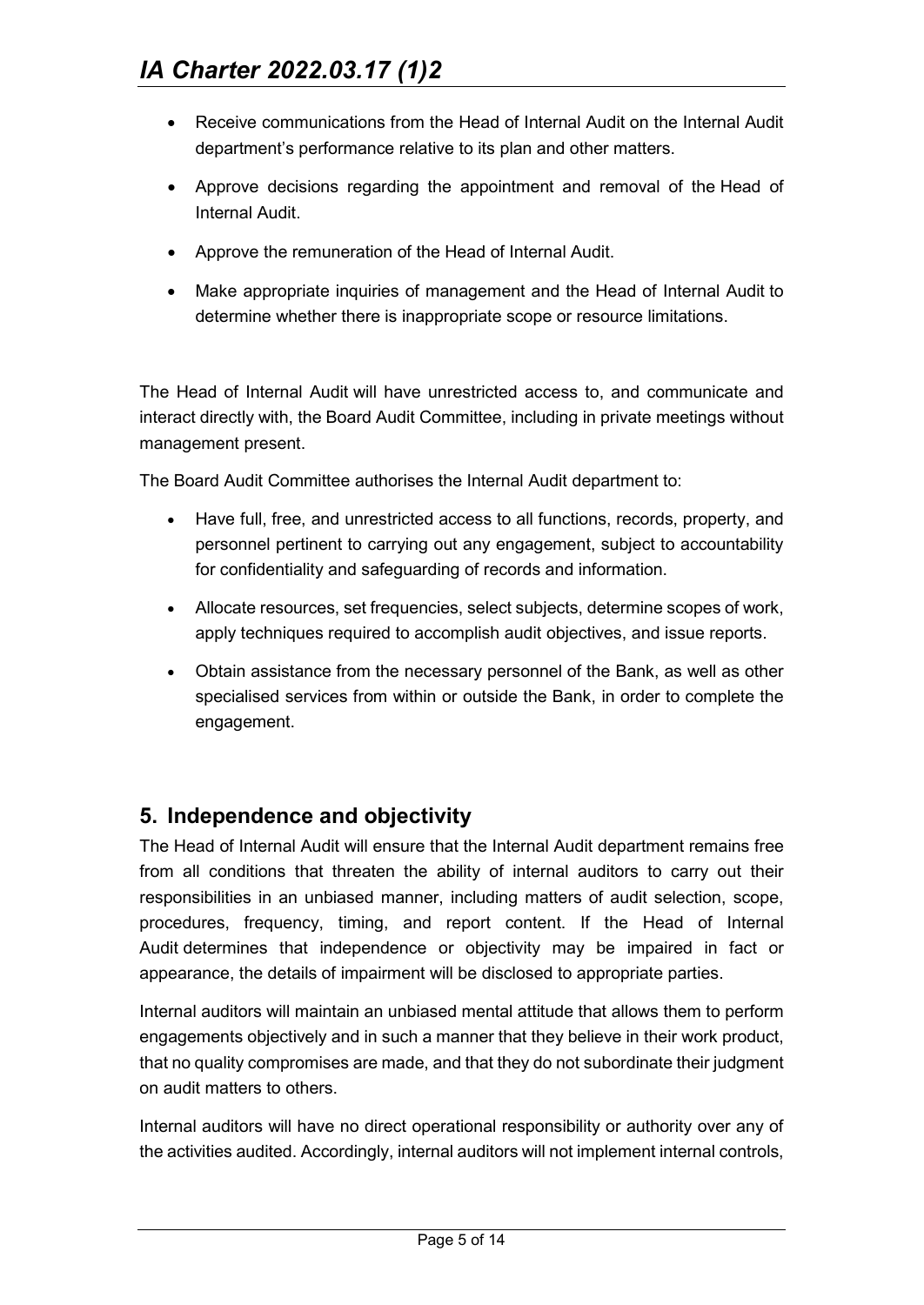- Receive communications from the Head of Internal Audit on the Internal Audit department's performance relative to its plan and other matters.
- Approve decisions regarding the appointment and removal of the Head of Internal Audit.
- Approve the remuneration of the Head of Internal Audit.
- Make appropriate inquiries of management and the Head of Internal Audit to determine whether there is inappropriate scope or resource limitations.

The Head of Internal Audit will have unrestricted access to, and communicate and interact directly with, the Board Audit Committee, including in private meetings without management present.

The Board Audit Committee authorises the Internal Audit department to:

- Have full, free, and unrestricted access to all functions, records, property, and personnel pertinent to carrying out any engagement, subject to accountability for confidentiality and safeguarding of records and information.
- Allocate resources, set frequencies, select subjects, determine scopes of work, apply techniques required to accomplish audit objectives, and issue reports.
- Obtain assistance from the necessary personnel of the Bank, as well as other specialised services from within or outside the Bank, in order to complete the engagement.

## <span id="page-4-0"></span>**5. Independence and objectivity**

The Head of Internal Audit will ensure that the Internal Audit department remains free from all conditions that threaten the ability of internal auditors to carry out their responsibilities in an unbiased manner, including matters of audit selection, scope, procedures, frequency, timing, and report content. If the Head of Internal Audit determines that independence or objectivity may be impaired in fact or appearance, the details of impairment will be disclosed to appropriate parties.

Internal auditors will maintain an unbiased mental attitude that allows them to perform engagements objectively and in such a manner that they believe in their work product, that no quality compromises are made, and that they do not subordinate their judgment on audit matters to others.

Internal auditors will have no direct operational responsibility or authority over any of the activities audited. Accordingly, internal auditors will not implement internal controls,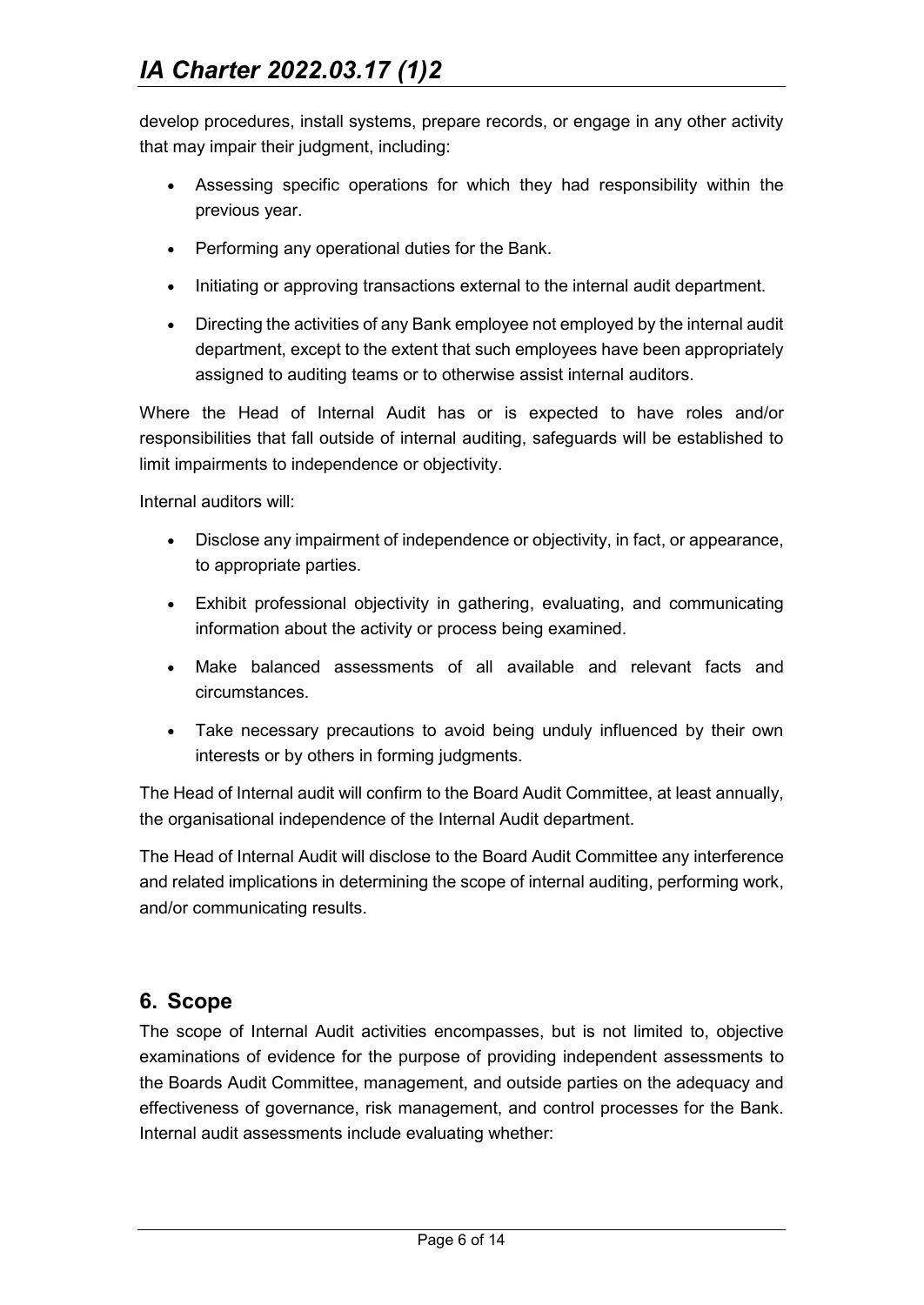develop procedures, install systems, prepare records, or engage in any other activity that may impair their judgment, including:

- Assessing specific operations for which they had responsibility within the previous year.
- Performing any operational duties for the Bank.
- Initiating or approving transactions external to the internal audit department.
- Directing the activities of any Bank employee not employed by the internal audit department, except to the extent that such employees have been appropriately assigned to auditing teams or to otherwise assist internal auditors.

Where the Head of Internal Audit has or is expected to have roles and/or responsibilities that fall outside of internal auditing, safeguards will be established to limit impairments to independence or objectivity.

Internal auditors will:

- Disclose any impairment of independence or objectivity, in fact, or appearance, to appropriate parties.
- Exhibit professional objectivity in gathering, evaluating, and communicating information about the activity or process being examined.
- Make balanced assessments of all available and relevant facts and circumstances.
- Take necessary precautions to avoid being unduly influenced by their own interests or by others in forming judgments.

The Head of Internal audit will confirm to the Board Audit Committee, at least annually, the organisational independence of the Internal Audit department.

The Head of Internal Audit will disclose to the Board Audit Committee any interference and related implications in determining the scope of internal auditing, performing work, and/or communicating results.

## <span id="page-5-0"></span>**6. Scope**

The scope of Internal Audit activities encompasses, but is not limited to, objective examinations of evidence for the purpose of providing independent assessments to the Boards Audit Committee, management, and outside parties on the adequacy and effectiveness of governance, risk management, and control processes for the Bank. Internal audit assessments include evaluating whether: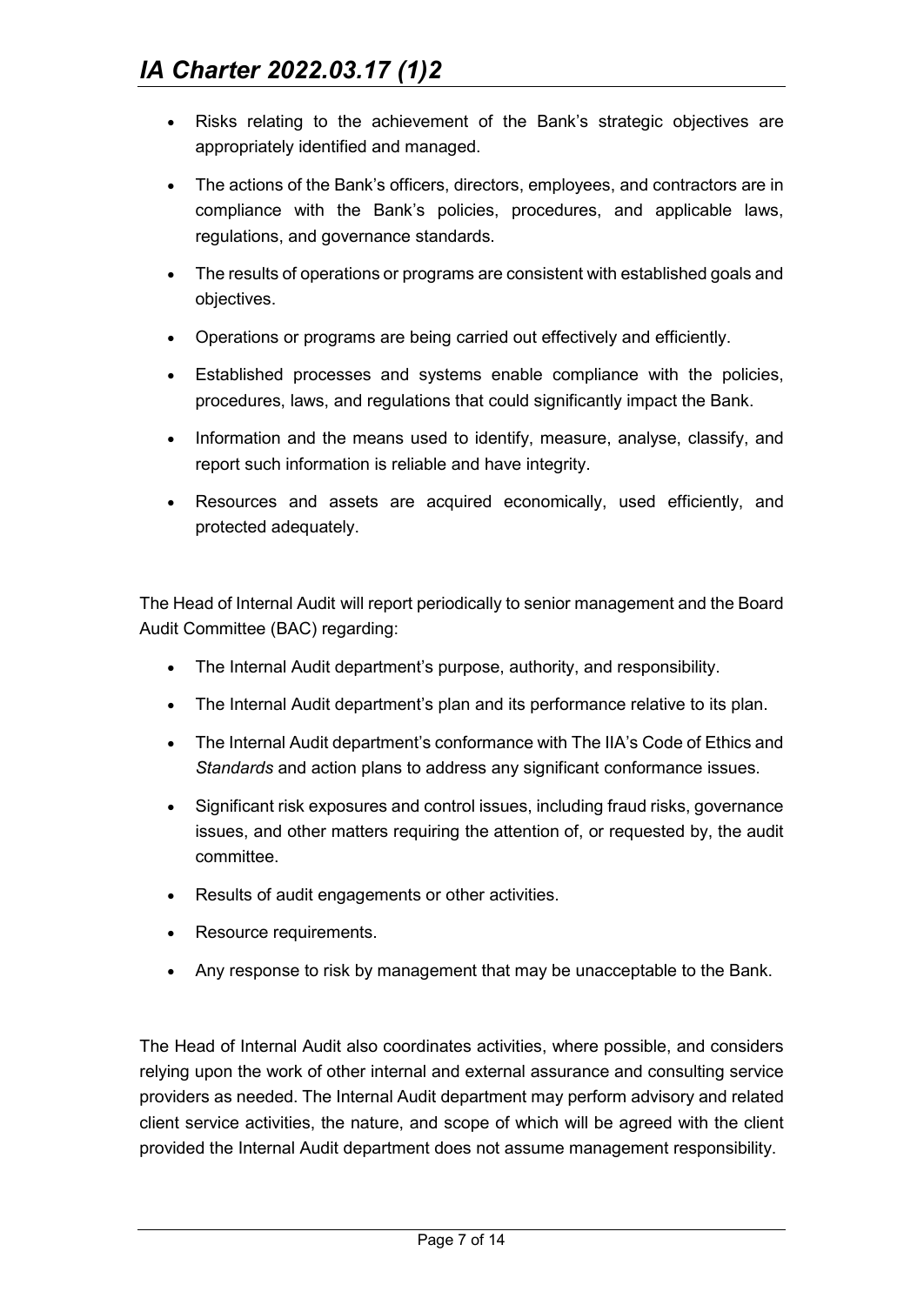- Risks relating to the achievement of the Bank's strategic objectives are appropriately identified and managed.
- The actions of the Bank's officers, directors, employees, and contractors are in compliance with the Bank's policies, procedures, and applicable laws, regulations, and governance standards.
- The results of operations or programs are consistent with established goals and objectives.
- Operations or programs are being carried out effectively and efficiently.
- Established processes and systems enable compliance with the policies, procedures, laws, and regulations that could significantly impact the Bank.
- Information and the means used to identify, measure, analyse, classify, and report such information is reliable and have integrity.
- Resources and assets are acquired economically, used efficiently, and protected adequately.

The Head of Internal Audit will report periodically to senior management and the Board Audit Committee (BAC) regarding:

- The Internal Audit department's purpose, authority, and responsibility.
- The Internal Audit department's plan and its performance relative to its plan.
- The Internal Audit department's conformance with The IIA's Code of Ethics and *Standards* and action plans to address any significant conformance issues.
- Significant risk exposures and control issues, including fraud risks, governance issues, and other matters requiring the attention of, or requested by, the audit committee.
- Results of audit engagements or other activities.
- Resource requirements.
- Any response to risk by management that may be unacceptable to the Bank.

The Head of Internal Audit also coordinates activities, where possible, and considers relying upon the work of other internal and external assurance and consulting service providers as needed. The Internal Audit department may perform advisory and related client service activities, the nature, and scope of which will be agreed with the client provided the Internal Audit department does not assume management responsibility.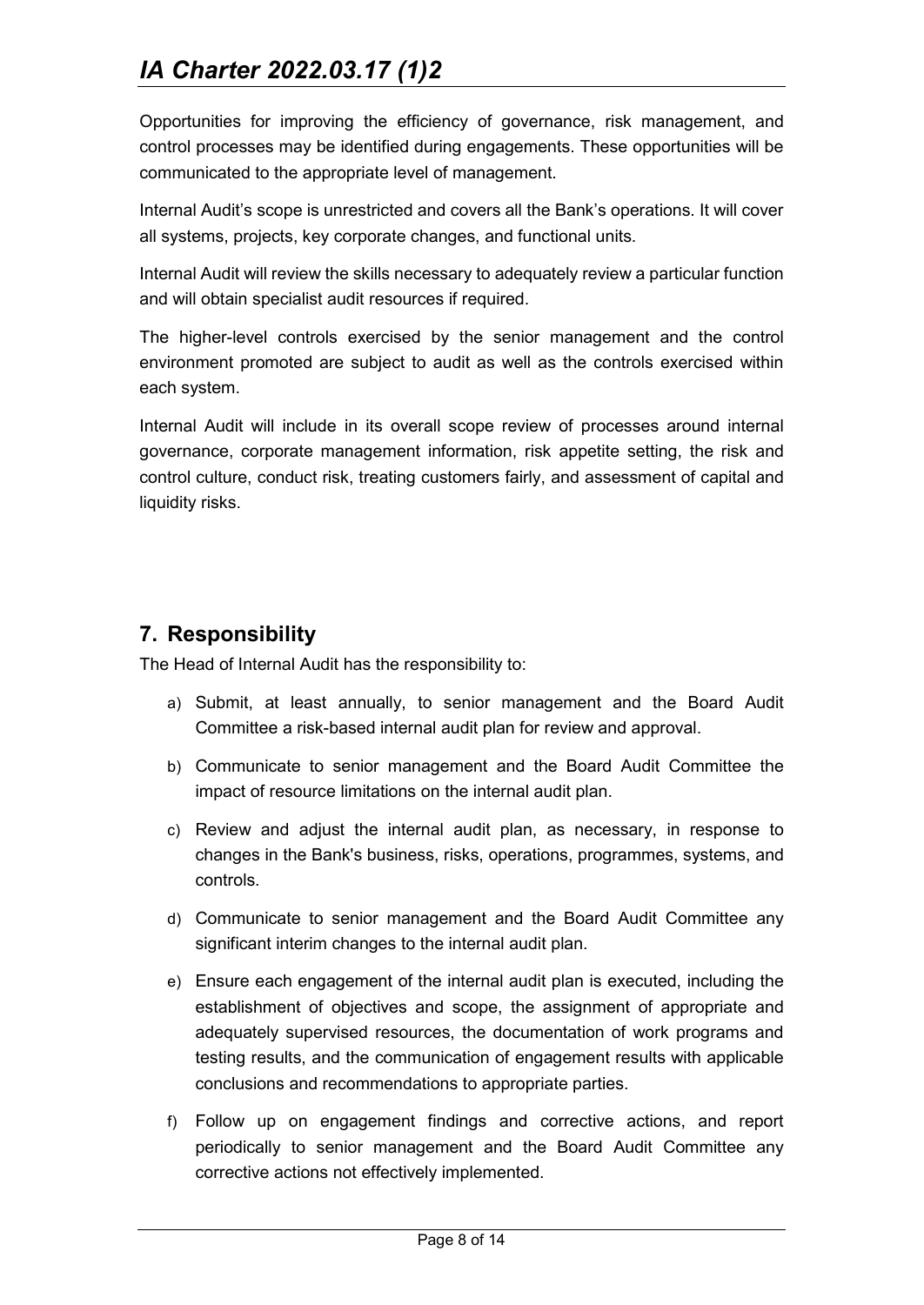Opportunities for improving the efficiency of governance, risk management, and control processes may be identified during engagements. These opportunities will be communicated to the appropriate level of management.

Internal Audit's scope is unrestricted and covers all the Bank's operations. It will cover all systems, projects, key corporate changes, and functional units.

Internal Audit will review the skills necessary to adequately review a particular function and will obtain specialist audit resources if required.

The higher-level controls exercised by the senior management and the control environment promoted are subject to audit as well as the controls exercised within each system.

Internal Audit will include in its overall scope review of processes around internal governance, corporate management information, risk appetite setting, the risk and control culture, conduct risk, treating customers fairly, and assessment of capital and liquidity risks.

## <span id="page-7-0"></span>**7. Responsibility**

The Head of Internal Audit has the responsibility to:

- a) Submit, at least annually, to senior management and the Board Audit Committee a risk-based internal audit plan for review and approval.
- b) Communicate to senior management and the Board Audit Committee the impact of resource limitations on the internal audit plan.
- c) Review and adjust the internal audit plan, as necessary, in response to changes in the Bank's business, risks, operations, programmes, systems, and controls.
- d) Communicate to senior management and the Board Audit Committee any significant interim changes to the internal audit plan.
- e) Ensure each engagement of the internal audit plan is executed, including the establishment of objectives and scope, the assignment of appropriate and adequately supervised resources, the documentation of work programs and testing results, and the communication of engagement results with applicable conclusions and recommendations to appropriate parties.
- f) Follow up on engagement findings and corrective actions, and report periodically to senior management and the Board Audit Committee any corrective actions not effectively implemented.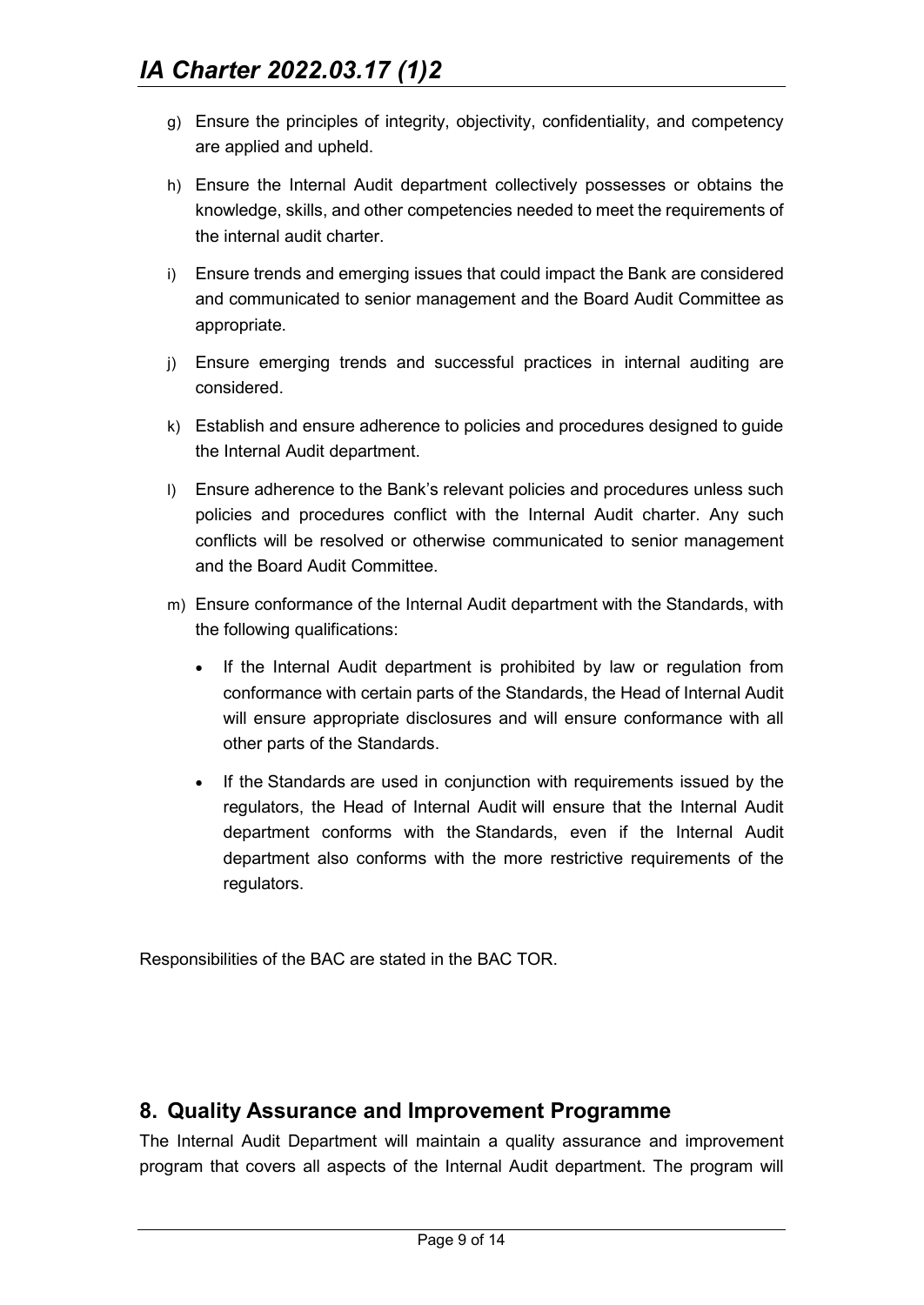- g) Ensure the principles of integrity, objectivity, confidentiality, and competency are applied and upheld.
- h) Ensure the Internal Audit department collectively possesses or obtains the knowledge, skills, and other competencies needed to meet the requirements of the internal audit charter.
- i) Ensure trends and emerging issues that could impact the Bank are considered and communicated to senior management and the Board Audit Committee as appropriate.
- j) Ensure emerging trends and successful practices in internal auditing are considered.
- k) Establish and ensure adherence to policies and procedures designed to guide the Internal Audit department.
- l) Ensure adherence to the Bank's relevant policies and procedures unless such policies and procedures conflict with the Internal Audit charter. Any such conflicts will be resolved or otherwise communicated to senior management and the Board Audit Committee.
- m) Ensure conformance of the Internal Audit department with the Standards, with the following qualifications:
	- If the Internal Audit department is prohibited by law or regulation from conformance with certain parts of the Standards, the Head of Internal Audit will ensure appropriate disclosures and will ensure conformance with all other parts of the Standards.
	- If the Standards are used in conjunction with requirements issued by the regulators, the Head of Internal Audit will ensure that the Internal Audit department conforms with the Standards, even if the Internal Audit department also conforms with the more restrictive requirements of the regulators.

Responsibilities of the BAC are stated in the BAC TOR.

## <span id="page-8-0"></span>**8. Quality Assurance and Improvement Programme**

The Internal Audit Department will maintain a quality assurance and improvement program that covers all aspects of the Internal Audit department. The program will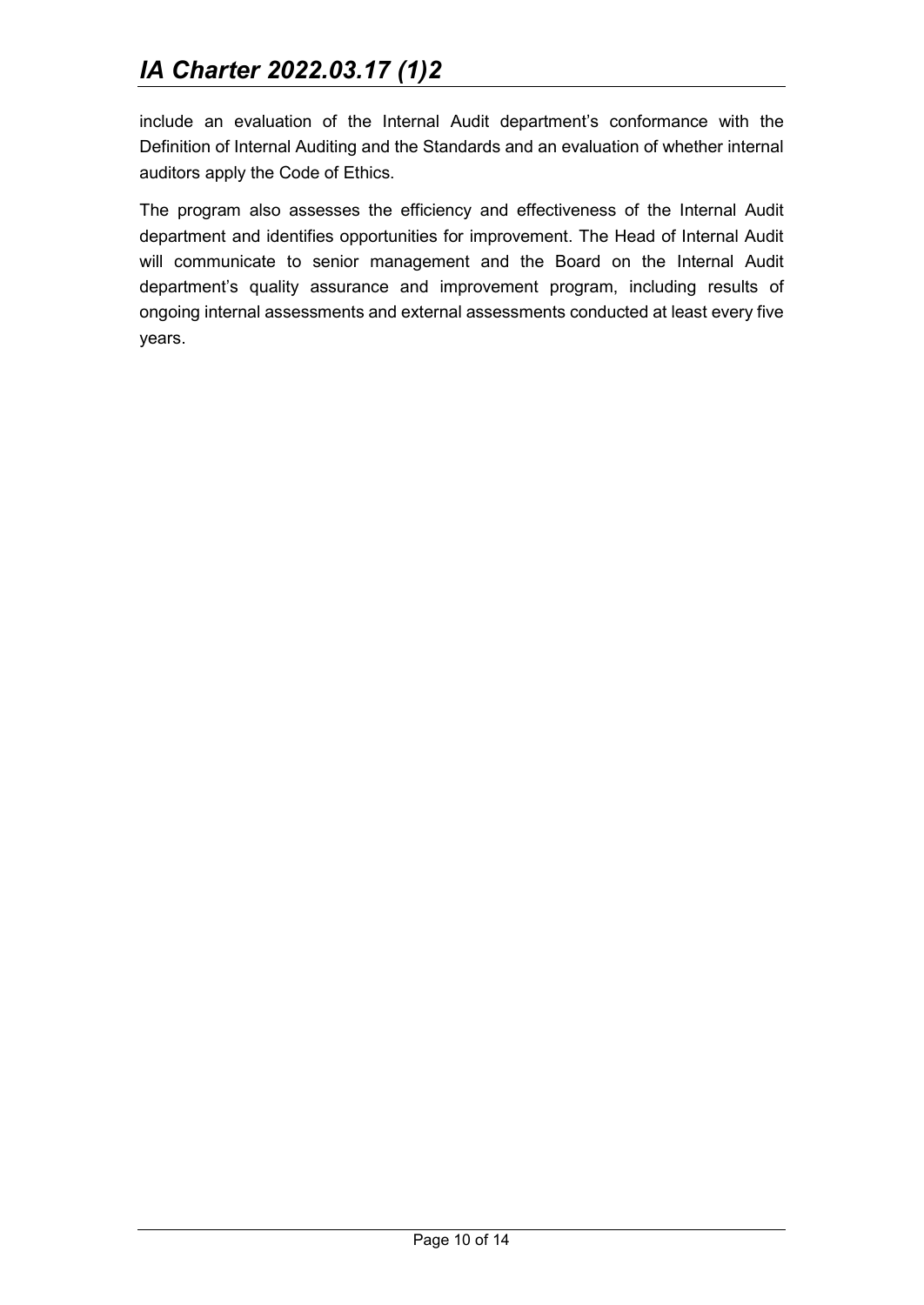include an evaluation of the Internal Audit department's conformance with the Definition of Internal Auditing and the Standards and an evaluation of whether internal auditors apply the Code of Ethics.

The program also assesses the efficiency and effectiveness of the Internal Audit department and identifies opportunities for improvement. The Head of Internal Audit will communicate to senior management and the Board on the Internal Audit department's quality assurance and improvement program, including results of ongoing internal assessments and external assessments conducted at least every five years.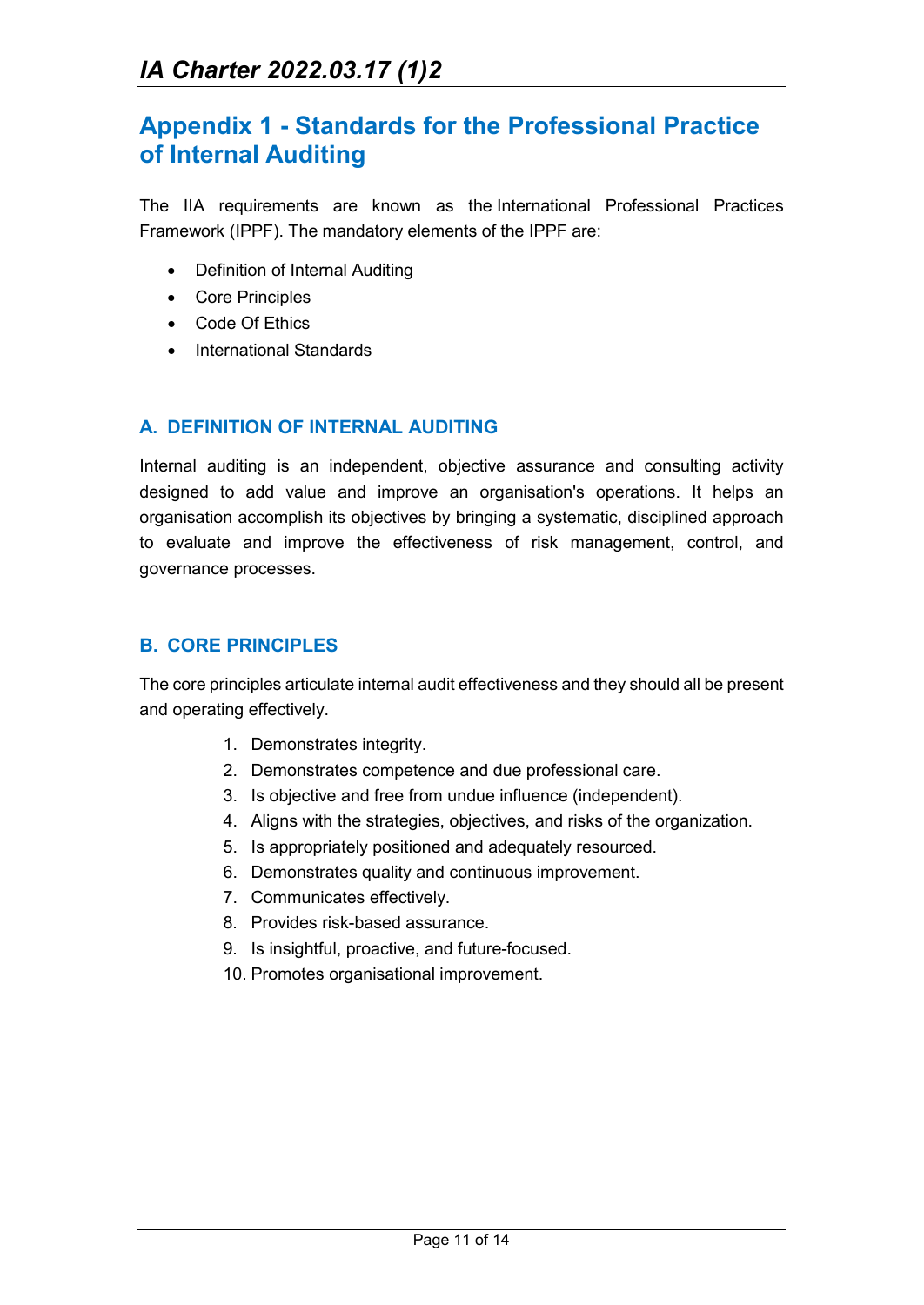# <span id="page-10-0"></span>**Appendix 1 - Standards for the Professional Practice of Internal Auditing**

The IIA requirements are known as the International Professional Practices Framework (IPPF). The mandatory elements of the IPPF are:

- Definition of Internal Auditing
- Core Principles
- Code Of Ethics
- International Standards

#### **A. DEFINITION OF INTERNAL AUDITING**

Internal auditing is an independent, objective assurance and consulting activity designed to add value and improve an organisation's operations. It helps an organisation accomplish its objectives by bringing a systematic, disciplined approach to evaluate and improve the effectiveness of risk management, control, and governance processes.

#### **B. CORE PRINCIPLES**

The core principles articulate internal audit effectiveness and they should all be present and operating effectively.

- 1. Demonstrates integrity.
- 2. Demonstrates competence and due professional care.
- 3. Is objective and free from undue influence (independent).
- 4. Aligns with the strategies, objectives, and risks of the organization.
- 5. Is appropriately positioned and adequately resourced.
- 6. Demonstrates quality and continuous improvement.
- 7. Communicates effectively.
- 8. Provides risk-based assurance.
- 9. Is insightful, proactive, and future-focused.
- 10. Promotes organisational improvement.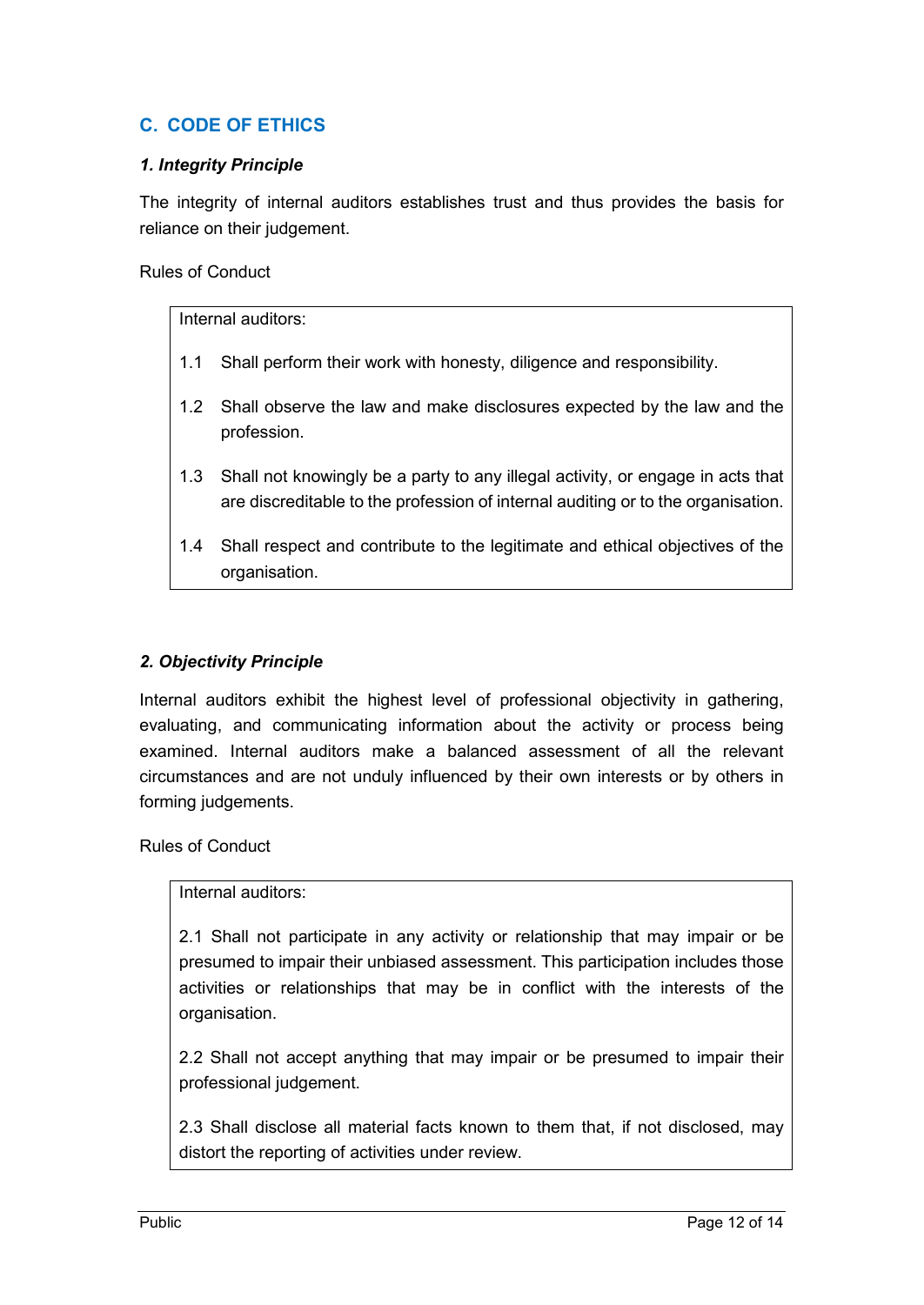## **C. CODE OF ETHICS**

#### *1. Integrity Principle*

The integrity of internal auditors establishes trust and thus provides the basis for reliance on their judgement.

Rules of Conduct

Internal auditors:

- 1.1 Shall perform their work with honesty, diligence and responsibility.
- 1.2 Shall observe the law and make disclosures expected by the law and the profession.
- 1.3 Shall not knowingly be a party to any illegal activity, or engage in acts that are discreditable to the profession of internal auditing or to the organisation.
- 1.4 Shall respect and contribute to the legitimate and ethical objectives of the organisation.

#### *2. Objectivity Principle*

Internal auditors exhibit the highest level of professional objectivity in gathering, evaluating, and communicating information about the activity or process being examined. Internal auditors make a balanced assessment of all the relevant circumstances and are not unduly influenced by their own interests or by others in forming judgements.

Rules of Conduct

#### Internal auditors:

2.1 Shall not participate in any activity or relationship that may impair or be presumed to impair their unbiased assessment. This participation includes those activities or relationships that may be in conflict with the interests of the organisation.

2.2 Shall not accept anything that may impair or be presumed to impair their professional judgement.

2.3 Shall disclose all material facts known to them that, if not disclosed, may distort the reporting of activities under review.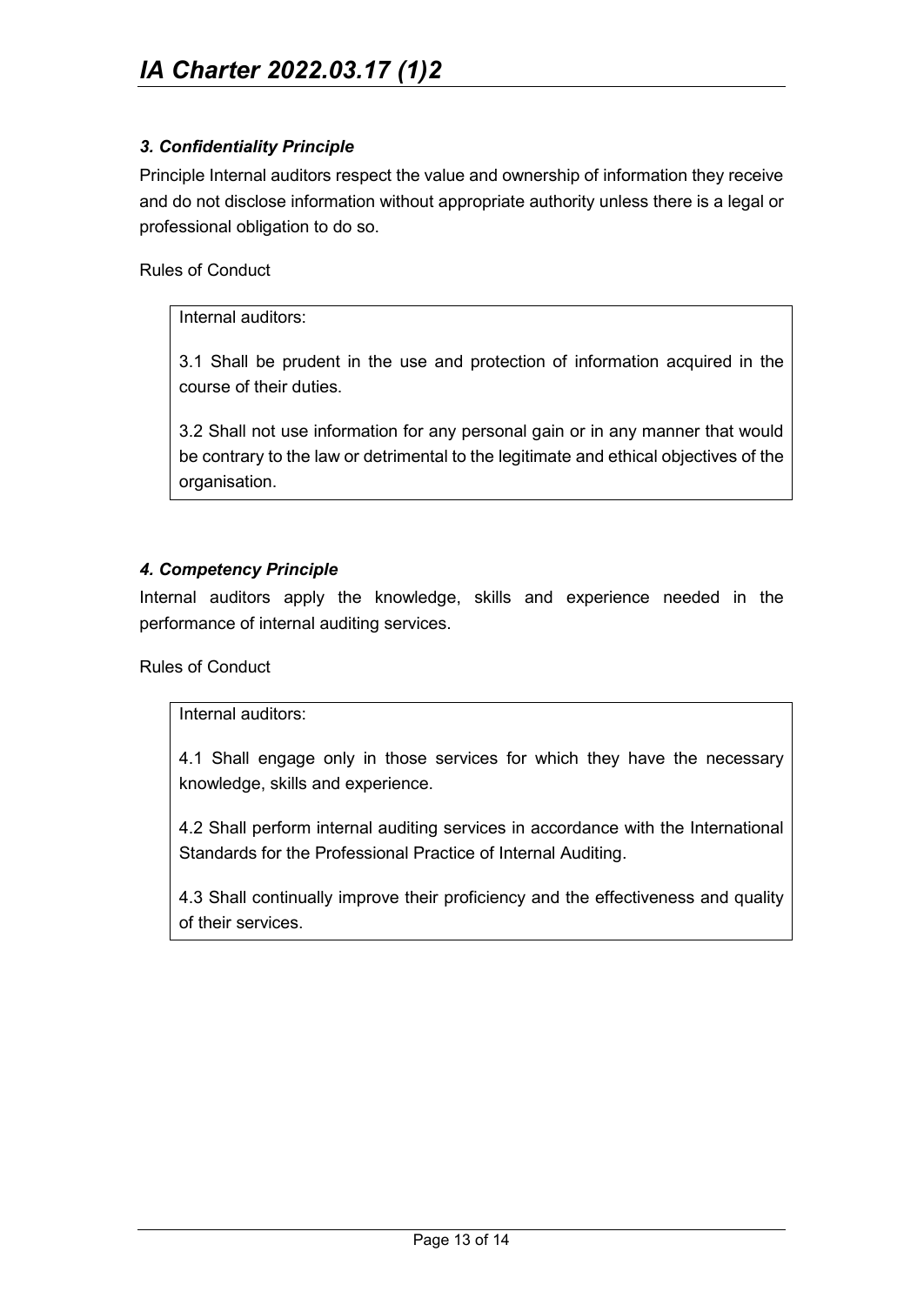#### *3. Confidentiality Principle*

Principle Internal auditors respect the value and ownership of information they receive and do not disclose information without appropriate authority unless there is a legal or professional obligation to do so.

Rules of Conduct

#### Internal auditors:

3.1 Shall be prudent in the use and protection of information acquired in the course of their duties.

3.2 Shall not use information for any personal gain or in any manner that would be contrary to the law or detrimental to the legitimate and ethical objectives of the organisation.

#### *4. Competency Principle*

Internal auditors apply the knowledge, skills and experience needed in the performance of internal auditing services.

Rules of Conduct

#### Internal auditors:

4.1 Shall engage only in those services for which they have the necessary knowledge, skills and experience.

4.2 Shall perform internal auditing services in accordance with the International Standards for the Professional Practice of Internal Auditing.

4.3 Shall continually improve their proficiency and the effectiveness and quality of their services.